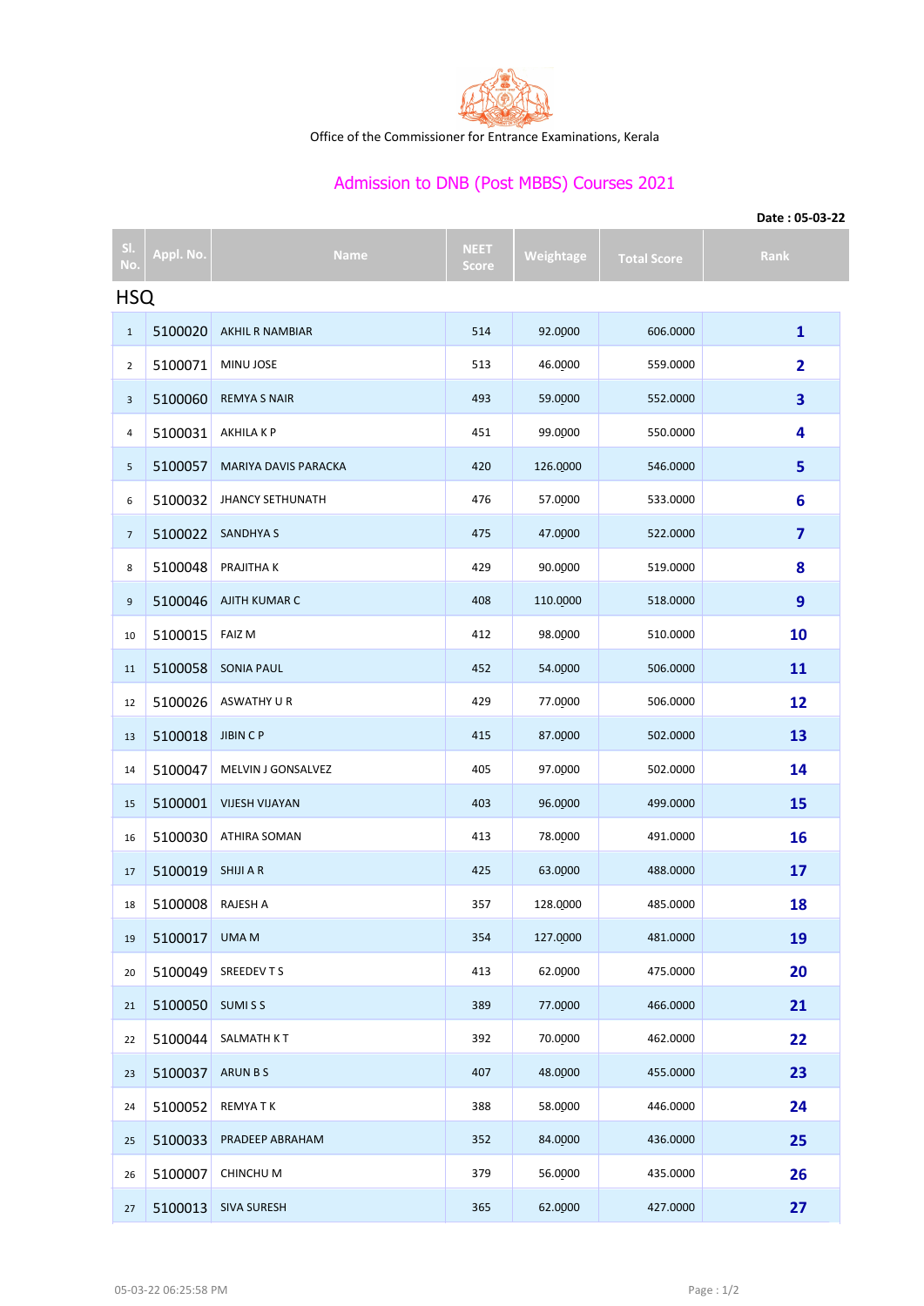

Office of the Commissioner for Entrance Examinations, Kerala

## Admission to DNB (Post MBBS) Courses 2021

|                | Date: 05-03-22 |                         |                             |           |                    |                         |  |  |  |  |
|----------------|----------------|-------------------------|-----------------------------|-----------|--------------------|-------------------------|--|--|--|--|
| SI.<br>No.     | Appl. No.      | <b>Name</b>             | <b>NEET</b><br><b>Score</b> | Weightage | <b>Total Score</b> | Rank                    |  |  |  |  |
| <b>HSQ</b>     |                |                         |                             |           |                    |                         |  |  |  |  |
| $\mathbf{1}$   | 5100020        | AKHIL R NAMBIAR         | 514                         | 92.0000   | 606.0000           | $\mathbf{1}$            |  |  |  |  |
| $\overline{2}$ | 5100071        | MINU JOSE               | 513                         | 46.0000   | 559.0000           | $\overline{\mathbf{2}}$ |  |  |  |  |
| 3              | 5100060        | <b>REMYA S NAIR</b>     | 493                         | 59.0000   | 552.0000           | 3                       |  |  |  |  |
| 4              | 5100031        | AKHILA K P              | 451                         | 99.0000   | 550.0000           | 4                       |  |  |  |  |
| 5              | 5100057        | MARIYA DAVIS PARACKA    | 420                         | 126.0000  | 546.0000           | 5                       |  |  |  |  |
| 6              | 5100032        | <b>JHANCY SETHUNATH</b> | 476                         | 57.0000   | 533.0000           | 6                       |  |  |  |  |
| $\overline{7}$ | 5100022        | <b>SANDHYA S</b>        | 475                         | 47.0000   | 522.0000           | 7                       |  |  |  |  |
| 8              | 5100048        | PRAJITHA K              | 429                         | 90.0000   | 519.0000           | 8                       |  |  |  |  |
| 9              | 5100046        | AJITH KUMAR C           | 408                         | 110.0000  | 518.0000           | 9                       |  |  |  |  |
| 10             | 5100015        | <b>FAIZ M</b>           | 412                         | 98.0000   | 510.0000           | 10                      |  |  |  |  |
| 11             | 5100058        | <b>SONIA PAUL</b>       | 452                         | 54.0000   | 506.0000           | 11                      |  |  |  |  |
| 12             | 5100026        | ASWATHY U R             | 429                         | 77.0000   | 506.0000           | 12                      |  |  |  |  |
| 13             | 5100018        | <b>JIBIN CP</b>         | 415                         | 87.0000   | 502.0000           | 13                      |  |  |  |  |
| 14             | 5100047        | MELVIN J GONSALVEZ      | 405                         | 97.0000   | 502.0000           | 14                      |  |  |  |  |
| 15             | 5100001        | <b>VIJESH VIJAYAN</b>   | 403                         | 96.0000   | 499.0000           | 15                      |  |  |  |  |
| 16             | 5100030        | ATHIRA SOMAN            | 413                         | 78.0000   | 491.0000           | 16                      |  |  |  |  |
| 17             | 5100019        | SHIJI A R               | 425                         | 63.0000   | 488.0000           | 17                      |  |  |  |  |
| 18             | 5100008        | RAJESH A                | 357                         | 128.0000  | 485.0000           | 18                      |  |  |  |  |
| 19             | 5100017        | <b>UMAM</b>             | 354                         | 127.0000  | 481.0000           | 19                      |  |  |  |  |
| 20             | 5100049        | SREEDEVTS               | 413                         | 62.0000   | 475.0000           | 20                      |  |  |  |  |
| 21             | 5100050        | SUMISS                  | 389                         | 77.0000   | 466.0000           | 21                      |  |  |  |  |
| 22             | 5100044        | SALMATH KT              | 392                         | 70.0000   | 462.0000           | 22                      |  |  |  |  |
| 23             | 5100037        | <b>ARUN BS</b>          | 407                         | 48.0000   | 455.0000           | 23                      |  |  |  |  |
| 24             | 5100052        | <b>REMYATK</b>          | 388                         | 58.0000   | 446.0000           | 24                      |  |  |  |  |
| 25             | 5100033        | PRADEEP ABRAHAM         | 352                         | 84.0000   | 436.0000           | 25                      |  |  |  |  |
| 26             | 5100007        | CHINCHU M               | 379                         | 56.0000   | 435.0000           | 26                      |  |  |  |  |
| 27             |                | 5100013 SIVA SURESH     | 365                         | 62.0000   | 427.0000           | 27                      |  |  |  |  |